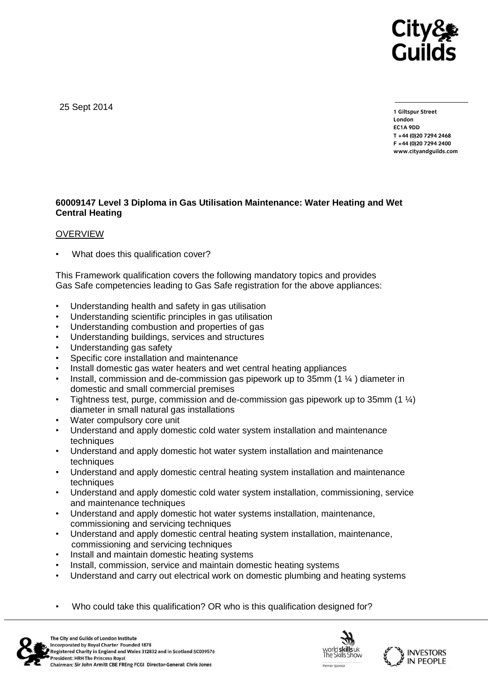

25 Sept 2014

**1 Giltspur Street EC1A 9DD** T +44 (0) 20 7 294 2468 **T +44 (0)20 7294 246[8](http://www.cityandguilds.com/) F +44 (0)20 7294 2400 [www.cityandguilds.com](http://www.cityandguilds.com/)**

## **60009147 Level 3 Diploma in Gas Utilisation Maintenance: Water Heating and Wet Central Heating**

## **OVERVIEW**

What does this qualification cover?

This Framework qualification covers the following mandatory topics and provides Gas Safe competencies leading to Gas Safe registration for the above appliances:

- Understanding health and safety in gas utilisation
- Understanding scientific principles in gas utilisation
- Understanding combustion and properties of gas
- Understanding buildings, services and structures
- Understanding gas safety
- Specific core installation and maintenance
- Install domestic gas water heaters and wet central heating appliances
- Install, commission and de-commission gas pipework up to 35mm  $(1 \frac{1}{4})$  diameter in domestic and small commercial premises
- Tightness test, purge, commission and de-commission gas pipework up to 35mm  $(1 \frac{1}{4})$ diameter in small natural gas installations
- Water compulsory core unit
- Understand and apply domestic cold water system installation and maintenance techniques
- Understand and apply domestic hot water system installation and maintenance techniques
- Understand and apply domestic central heating system installation and maintenance techniques
- Understand and apply domestic cold water system installation, commissioning, service and maintenance techniques
- Understand and apply domestic hot water systems installation, maintenance, commissioning and servicing techniques
- Understand and apply domestic central heating system installation, maintenance, commissioning and servicing techniques
- Install and maintain domestic heating systems
- Install, commission, service and maintain domestic heating systems
- Understand and carry out electrical work on domestic plumbing and heating systems
- Who could take this qualification? OR who is this qualification designed for?